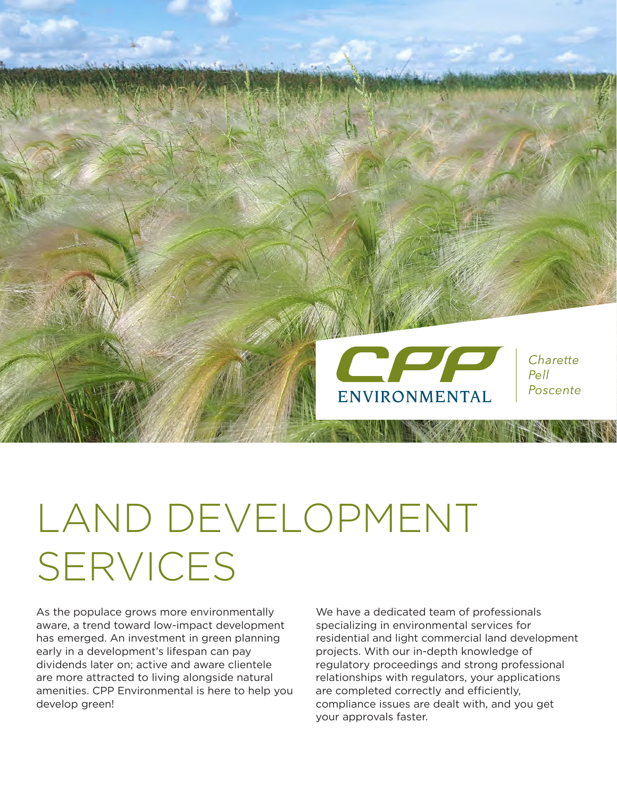

# LAND DEVELOPMENT SERVICES

As the populace grows more environmentally aware, a trend toward low-impact development has emerged. An investment in green planning early in a development's lifespan can pay dividends later on; active and aware clientele are more attracted to living alongside natural amenities. CPP Environmental is here to help you develop green!

We have a dedicated team of professionals specializing in environmental services for residential and light commercial land development projects. With our in-depth knowledge of regulatory proceedings and strong professional relationships with regulators, your applications are completed correctly and efficiently, compliance issues are dealt with, and you get your approvals faster.